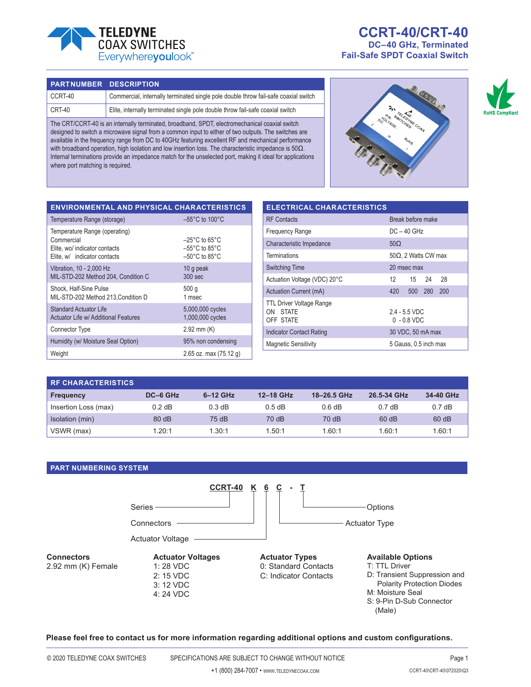

# **CCRT-40/CRT-40 DC–40 GHz, Terminated Fail-Safe SPDT Coaxial Switch**

#### **PART NUMBER DESCRIPTION**

Temperature Range (operating)

MIL-STD-202 Method 204, Condition C

MIL-STD-202 Method 213,Condition D

Actuator Life w/ Additional Features

Elite, wo/ indicator contacts Elite, w/ indicator contacts

Vibration, 10 - 2,000 Hz

Shock, Half-Sine Pulse

Standard Actuator Life

Commercial

| CCRT-40 | Commercial, internally terminated single pole double throw fail-safe coaxial switch |
|---------|-------------------------------------------------------------------------------------|
| CRT-40  | Elite, internally terminated single pole double throw fail-safe coaxial switch      |

The CRT/CCRT-40 is an internally terminated, broadband, SPDT, electromechanical coaxial switch designed to switch a microwave signal from a common input to either of two outputs. The switches are available in the frequency range from DC to 40GHz featuring excellent RF and mechanical performance with broadband operation, high isolation and low insertion loss. The characteristic impedance is 50Ω. Internal terminations provide an impedance match for the unselected port, making it ideal for applications where port matching is required.

> –25°C to 65°C –55°C to 85°C –50°C to 85°C

5,000,000 cycles 1,000,000 cycles

10 g peak 300 sec

500 g 1 msec

**ENVIRONMENTAL AND PHYSICAL CHARACTERISTICS** Temperature Range (storage) –55°C to 100°C

Connector Type 2.92 mm (K) Humidity (w/ Moisture Seal Option) 95% non condensing

| <b>ELECTRICAL CHARACTERISTICS</b>                        |                                |  |  |  |  |
|----------------------------------------------------------|--------------------------------|--|--|--|--|
| <b>RF</b> Contacts                                       | Break before make              |  |  |  |  |
| <b>Frequency Range</b>                                   | $DC - 40$ GHz                  |  |  |  |  |
| Characteristic Impedance                                 | $50\Omega$                     |  |  |  |  |
| <b>Terminations</b>                                      | $50\Omega$ , 2 Watts CW max    |  |  |  |  |
| <b>Switching Time</b>                                    | 20 msec max                    |  |  |  |  |
| Actuation Voltage (VDC) 20°C                             | 12.<br>15 24<br>28             |  |  |  |  |
| Actuation Current (mA)                                   | 500 280<br>420<br>200          |  |  |  |  |
| <b>TTL Driver Voltage Range</b><br>ON STATE<br>OFF STATE | $24 - 55$ VDC<br>$0 - 0.8$ VDC |  |  |  |  |
| <b>Indicator Contact Rating</b>                          | 30 VDC, 50 mA max              |  |  |  |  |
| 5 Gauss, 0.5 inch max<br><b>Magnetic Sensitivity</b>     |                                |  |  |  |  |

|                           |          |                          | <b>Magnetic Sensitivity</b> |             | O Gauss, U.S INCH Max |           |  |
|---------------------------|----------|--------------------------|-----------------------------|-------------|-----------------------|-----------|--|
| Weight                    |          | 2.65 oz. max $(75.12 g)$ |                             |             |                       |           |  |
|                           |          |                          |                             |             |                       |           |  |
| <b>RF CHARACTERISTICS</b> |          |                          |                             |             |                       |           |  |
| <b>Frequency</b>          | DC-6 GHz | $6-12$ GHz               | 12-18 GHz                   | 18-26.5 GHz | 26.5-34 GHz           | 34-40 GHz |  |
| Insertion Loss (max)      | $0.2$ dB | 0.3 dB                   | $0.5$ dB                    | 0.6 dB      | 0.7dB                 | 0.7dB     |  |
| Isolation (min)           | 80 dB    | 75 dB                    | 70 dB                       | 70 dB       | 60 dB                 | 60 dB     |  |
| VSWR (max)                | 1.20:1   | 1.30:1                   | 1.50:1                      | 1.60:1      | 1.60:1                | 1.60:1    |  |

### **PART NUMBERING SYSTEM**



**Please feel free to contact us for more information regarding additional options and custom configurations.**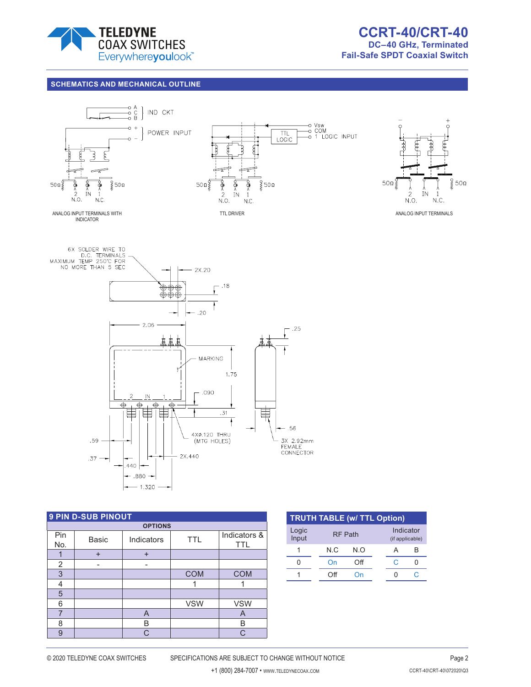

## **SCHEMATICS AND MECHANICAL OUTLINE Indicators**



**Indicators**





| <b>9 PIN D-SUB PINOUT</b> |              |            |            |                            |  |
|---------------------------|--------------|------------|------------|----------------------------|--|
| <b>OPTIONS</b>            |              |            |            |                            |  |
| Pin<br>No.                | <b>Basic</b> | Indicators | <b>TTL</b> | Indicators &<br><b>TTL</b> |  |
| 1                         | $\div$       | $\div$     |            |                            |  |
| $\overline{2}$            |              |            |            |                            |  |
| 3                         |              |            | <b>COM</b> | <b>COM</b>                 |  |
| 4                         |              |            |            |                            |  |
| 5                         |              |            |            |                            |  |
| 6                         |              |            | <b>VSW</b> | <b>VSW</b>                 |  |
| 7                         |              | A          |            | A                          |  |
| 8                         |              | B          |            | B                          |  |
| 9                         |              | C          |            | C.                         |  |

| <b>TRUTH TABLE (w/ TTL Option)</b> |     |                |  |    |                              |  |  |
|------------------------------------|-----|----------------|--|----|------------------------------|--|--|
| Logic<br>Input                     |     | <b>RF Path</b> |  |    | Indicator<br>(if applicable) |  |  |
|                                    | N C | N O            |  |    | B                            |  |  |
|                                    | On  | ∩ff            |  | C. |                              |  |  |
|                                    | ∩ff | ำn             |  |    |                              |  |  |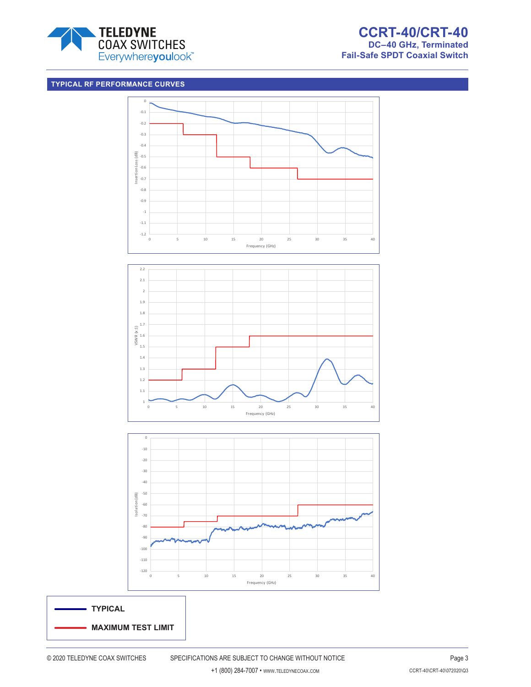

## **TYPICAL RF PERFORMANCE CURVES**





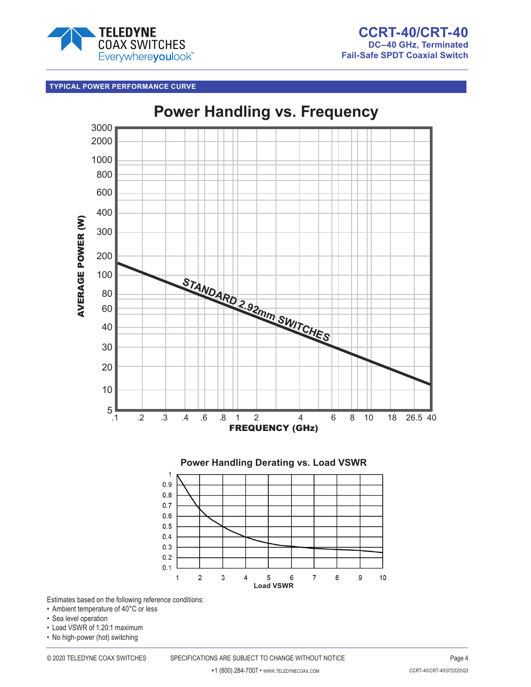

## **TYPICAL POWER PERFORMANCE CURVE**



Estimates based on the following reference conditions:

- Ambient temperature of 40°C or less
- Sea level operation
- Load VSWR of 1.20:1 maximum
- No high-power (hot) switching